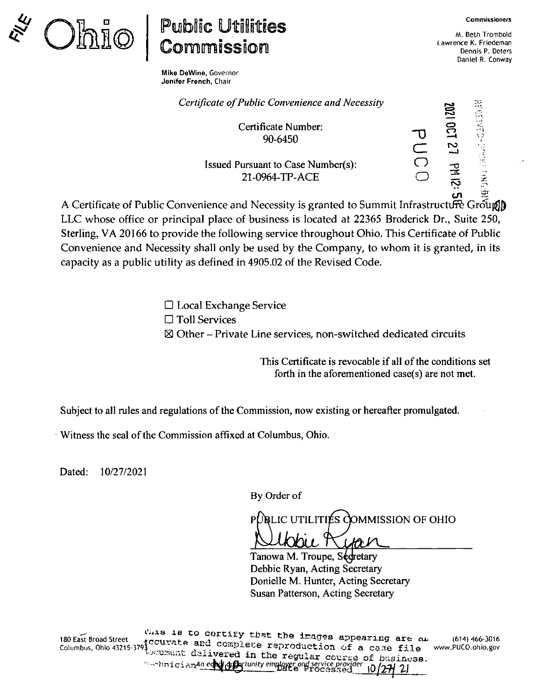

## **Public Utilities<br>Commission**

Mike DeWine, Governor Jenifer French, Chair

M, Beth Trombold Lawrence K. Friedeman Dennis P. Deters Daniel R. Conway

| Certificate of Public Convenience and Necessity             | 1702 | 73                 |
|-------------------------------------------------------------|------|--------------------|
| Certificate Number:<br>90-6450                              | N    | $\cdots$           |
| <b>Issued Pursuant to Case Number(s):</b><br>21-0964-TP-ACE |      | Ķ<br>$\frac{1}{2}$ |

A. Certificate of Public Convenience and Necessity is granted to Summit Infrastructure Group) LLC whose office or principal place of business is located at 22365 Broderick Dr., Suite 250, Sterling, VA 20166 to provide the following service throughout Ohio. This Certificate of Public Convenience and Necessity shall only be used by the Company, to whom it is granted, in its capacity as a public utility as defined in 4905.02 of the Revised Code.

> Local Exchange Service  $\Box$  Toll Services  $\boxtimes$  Other – Private Line services, non-switched dedicated circuits

> > This Certificate is revocable if all of the conditions set forth in the aforementioned case(s) are not met.

Subject to all rules and regulations of the Commission, now existing or hereafter promulgated.

Witness the seal ofthe Commission affixed at Columbus, Ohio.

Dated: 10/27/2021

By Order of

LIC UTILITIES COMMISSION OF OHIO

Tanowa M. Troupe, Secretary Debbie Ryan, Acting Secretary Donielle M. Hunter, Acting Secretary Susan Patterson, Acting Secretary

(614) 466-3016 WWW,PUCO.ohio.gov